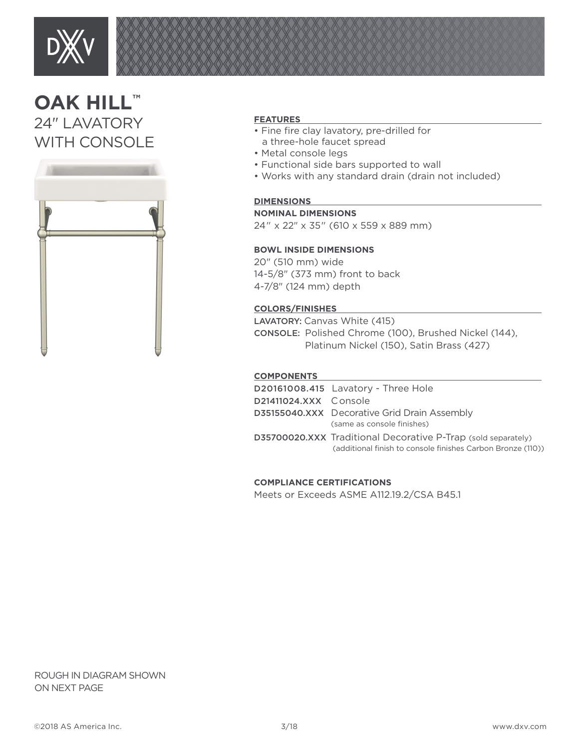

# **OAK HILL™** 24" LAVATORY WITH CONSOLE



# **FEATURES**

- Fine fire clay lavatory, pre-drilled for a three-hole faucet spread
- Metal console legs
- Functional side bars supported to wall
- Works with any standard drain (drain not included)

# **DIMENSIONS**

## **NOMINAL DIMENSIONS**

24" x 22" x 35" (610 x 559 x 889 mm)

# **BOWL INSIDE DIMENSIONS**

20" (510 mm) wide 14-5/8" (373 mm) front to back 4-7/8" (124 mm) depth

### **COLORS/FINISHES**

LAVATORY: Canvas White (415) CONSOLE: Polished Chrome (100), Brushed Nickel (144), Platinum Nickel (150), Satin Brass (427)

#### **COMPONENTS**

|                       | D20161008.415 Lavatory - Three Hole                                                                                                 |
|-----------------------|-------------------------------------------------------------------------------------------------------------------------------------|
| D21411024.XXX Console |                                                                                                                                     |
|                       | <b>D35155040.XXX</b> Decorative Grid Drain Assembly<br>(same as console finishes)                                                   |
|                       | <b>D35700020.XXX</b> Traditional Decorative P-Trap (sold separately)<br>(additional finish to console finishes Carbon Bronze (110)) |

# **COMPLIANCE CERTIFICATIONS**

Meets or Exceeds ASME A112.19.2/CSA B45.1

ROUGH IN DIAGRAM SHOWN ON NEXT PAGE